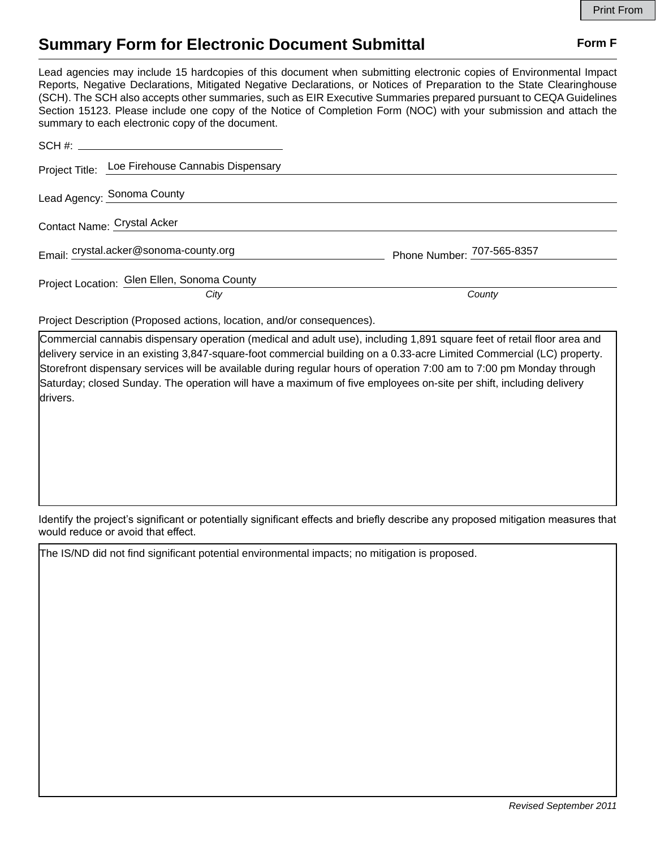## **Summary Form for Electronic Document Submittal Form F Form F**

Lead agencies may include 15 hardcopies of this document when submitting electronic copies of Environmental Impact Reports, Negative Declarations, Mitigated Negative Declarations, or Notices of Preparation to the State Clearinghouse (SCH). The SCH also accepts other summaries, such as EIR Executive Summaries prepared pursuant to CEQA Guidelines Section 15123. Please include one copy of the Notice of Completion Form (NOC) with your submission and attach the summary to each electronic copy of the document.

| Project Title: Loe Firehouse Cannabis Dispensary |                            |
|--------------------------------------------------|----------------------------|
| Lead Agency: Sonoma County                       |                            |
| Contact Name: Crystal Acker                      |                            |
| Email: crystal.acker@sonoma-county.org           | Phone Number: 707-565-8357 |
| Project Location: Glen Ellen, Sonoma County      | County                     |
| City                                             |                            |

Project Description (Proposed actions, location, and/or consequences).

Commercial cannabis dispensary operation (medical and adult use), including 1,891 square feet of retail floor area and delivery service in an existing 3,847-square-foot commercial building on a 0.33-acre Limited Commercial (LC) property. Storefront dispensary services will be available during regular hours of operation 7:00 am to 7:00 pm Monday through Saturday; closed Sunday. The operation will have a maximum of five employees on-site per shift, including delivery drivers.

Identify the project's significant or potentially significant effects and briefly describe any proposed mitigation measures that would reduce or avoid that effect.

The IS/ND did not find significant potential environmental impacts; no mitigation is proposed.